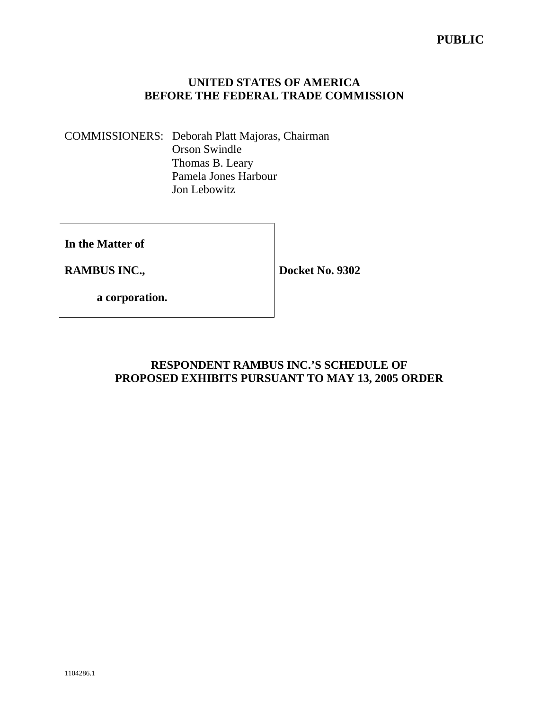## **PUBLIC**

## **UNITED STATES OF AMERICA BEFORE THE FEDERAL TRADE COMMISSION**

COMMISSIONERS: Deborah Platt Majoras, Chairman Orson Swindle Thomas B. Leary Pamela Jones Harbour Jon Lebowitz

**In the Matter of** 

**RAMBUS INC.,** 

**Docket No. 9302** 

 **a corporation.** 

## **RESPONDENT RAMBUS INC.'S SCHEDULE OF PROPOSED EXHIBITS PURSUANT TO MAY 13, 2005 ORDER**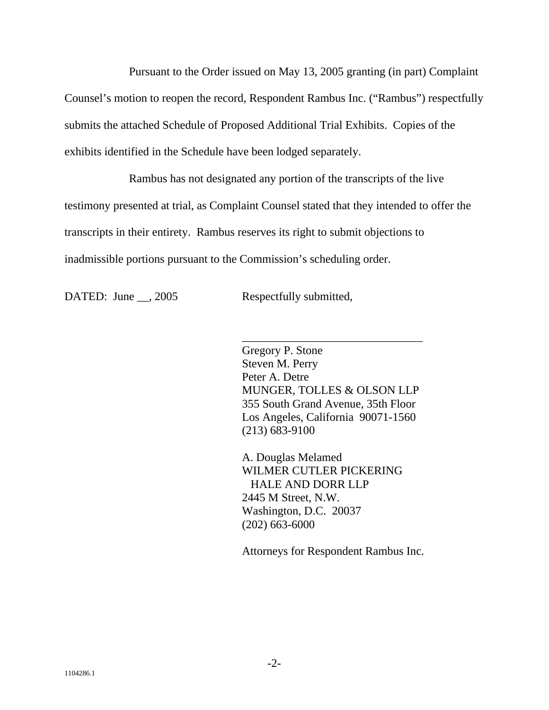Pursuant to the Order issued on May 13, 2005 granting (in part) Complaint Counsel's motion to reopen the record, Respondent Rambus Inc. ("Rambus") respectfully submits the attached Schedule of Proposed Additional Trial Exhibits. Copies of the exhibits identified in the Schedule have been lodged separately.

Rambus has not designated any portion of the transcripts of the live testimony presented at trial, as Complaint Counsel stated that they intended to offer the transcripts in their entirety. Rambus reserves its right to submit objections to inadmissible portions pursuant to the Commission's scheduling order.

DATED: June \_\_, 2005 Respectfully submitted,

\_\_\_\_\_\_\_\_\_\_\_\_\_\_\_\_\_\_\_\_\_\_\_\_\_\_\_\_\_\_\_ Gregory P. Stone Steven M. Perry Peter A. Detre MUNGER, TOLLES & OLSON LLP 355 South Grand Avenue, 35th Floor Los Angeles, California 90071-1560 (213) 683-9100

A. Douglas Melamed WILMER CUTLER PICKERING HALE AND DORR LLP 2445 M Street, N.W. Washington, D.C. 20037 (202) 663-6000

Attorneys for Respondent Rambus Inc.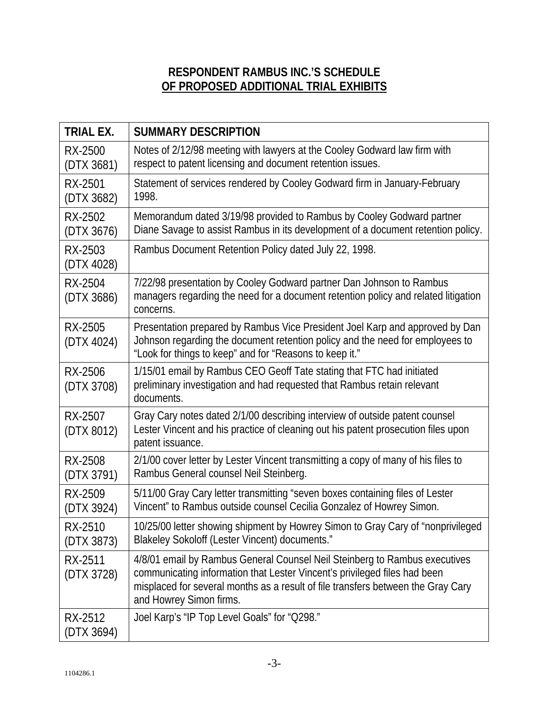## **RESPONDENT RAMBUS INC.'S SCHEDULE OF PROPOSED ADDITIONAL TRIAL EXHIBITS**

| <b>TRIAL EX.</b>      | <b>SUMMARY DESCRIPTION</b>                                                                                                                                                                                                                                             |
|-----------------------|------------------------------------------------------------------------------------------------------------------------------------------------------------------------------------------------------------------------------------------------------------------------|
| RX-2500<br>(DTX 3681) | Notes of 2/12/98 meeting with lawyers at the Cooley Godward law firm with<br>respect to patent licensing and document retention issues.                                                                                                                                |
| RX-2501<br>(DTX 3682) | Statement of services rendered by Cooley Godward firm in January-February<br>1998.                                                                                                                                                                                     |
| RX-2502<br>(DTX 3676) | Memorandum dated 3/19/98 provided to Rambus by Cooley Godward partner<br>Diane Savage to assist Rambus in its development of a document retention policy.                                                                                                              |
| RX-2503<br>(DTX 4028) | Rambus Document Retention Policy dated July 22, 1998.                                                                                                                                                                                                                  |
| RX-2504<br>(DTX 3686) | 7/22/98 presentation by Cooley Godward partner Dan Johnson to Rambus<br>managers regarding the need for a document retention policy and related litigation<br>concerns.                                                                                                |
| RX-2505<br>(DTX 4024) | Presentation prepared by Rambus Vice President Joel Karp and approved by Dan<br>Johnson regarding the document retention policy and the need for employees to<br>"Look for things to keep" and for "Reasons to keep it."                                               |
| RX-2506<br>(DTX 3708) | 1/15/01 email by Rambus CEO Geoff Tate stating that FTC had initiated<br>preliminary investigation and had requested that Rambus retain relevant<br>documents.                                                                                                         |
| RX-2507<br>(DTX 8012) | Gray Cary notes dated 2/1/00 describing interview of outside patent counsel<br>Lester Vincent and his practice of cleaning out his patent prosecution files upon<br>patent issuance.                                                                                   |
| RX-2508<br>(DTX 3791) | 2/1/00 cover letter by Lester Vincent transmitting a copy of many of his files to<br>Rambus General counsel Neil Steinberg.                                                                                                                                            |
| RX-2509<br>(DTX 3924) | 5/11/00 Gray Cary letter transmitting "seven boxes containing files of Lester<br>Vincent" to Rambus outside counsel Cecilia Gonzalez of Howrey Simon.                                                                                                                  |
| RX-2510<br>(DTX 3873) | 10/25/00 letter showing shipment by Howrey Simon to Gray Cary of "nonprivileged<br>Blakeley Sokoloff (Lester Vincent) documents."                                                                                                                                      |
| RX-2511<br>(DTX 3728) | 4/8/01 email by Rambus General Counsel Neil Steinberg to Rambus executives<br>communicating information that Lester Vincent's privileged files had been<br>misplaced for several months as a result of file transfers between the Gray Cary<br>and Howrey Simon firms. |
| RX-2512<br>(DTX 3694) | Joel Karp's "IP Top Level Goals" for "Q298."                                                                                                                                                                                                                           |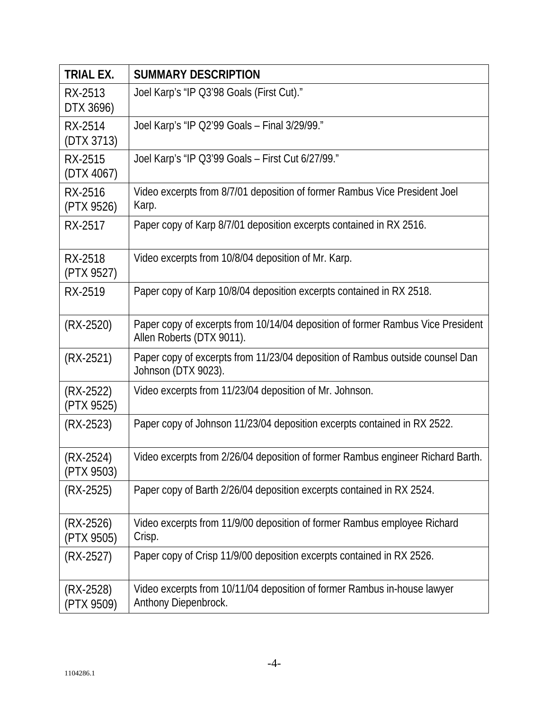| <b>TRIAL EX.</b>          | <b>SUMMARY DESCRIPTION</b>                                                                                   |
|---------------------------|--------------------------------------------------------------------------------------------------------------|
| RX-2513<br>DTX 3696)      | Joel Karp's "IP Q3'98 Goals (First Cut)."                                                                    |
| RX-2514<br>(DTX 3713)     | Joel Karp's "IP Q2'99 Goals – Final 3/29/99."                                                                |
| RX-2515<br>(DTX 4067)     | Joel Karp's "IP Q3'99 Goals – First Cut 6/27/99."                                                            |
| RX-2516<br>(PTX 9526)     | Video excerpts from 8/7/01 deposition of former Rambus Vice President Joel<br>Karp.                          |
| RX-2517                   | Paper copy of Karp 8/7/01 deposition excerpts contained in RX 2516.                                          |
| RX-2518<br>(PTX 9527)     | Video excerpts from 10/8/04 deposition of Mr. Karp.                                                          |
| RX-2519                   | Paper copy of Karp 10/8/04 deposition excerpts contained in RX 2518.                                         |
| $(RX-2520)$               | Paper copy of excerpts from 10/14/04 deposition of former Rambus Vice President<br>Allen Roberts (DTX 9011). |
| $(RX-2521)$               | Paper copy of excerpts from 11/23/04 deposition of Rambus outside counsel Dan<br>Johnson (DTX 9023).         |
| $(RX-2522)$<br>(PTX 9525) | Video excerpts from 11/23/04 deposition of Mr. Johnson.                                                      |
| $(RX-2523)$               | Paper copy of Johnson 11/23/04 deposition excerpts contained in RX 2522.                                     |
| (RX-2524)<br>(PTX 9503)   | Video excerpts from 2/26/04 deposition of former Rambus engineer Richard Barth.                              |
| $(RX-2525)$               | Paper copy of Barth 2/26/04 deposition excerpts contained in RX 2524.                                        |
| (RX-2526)<br>(PTX 9505)   | Video excerpts from 11/9/00 deposition of former Rambus employee Richard<br>Crisp.                           |
| (RX-2527)                 | Paper copy of Crisp 11/9/00 deposition excerpts contained in RX 2526.                                        |
| (RX-2528)<br>(PTX 9509)   | Video excerpts from 10/11/04 deposition of former Rambus in-house lawyer<br>Anthony Diepenbrock.             |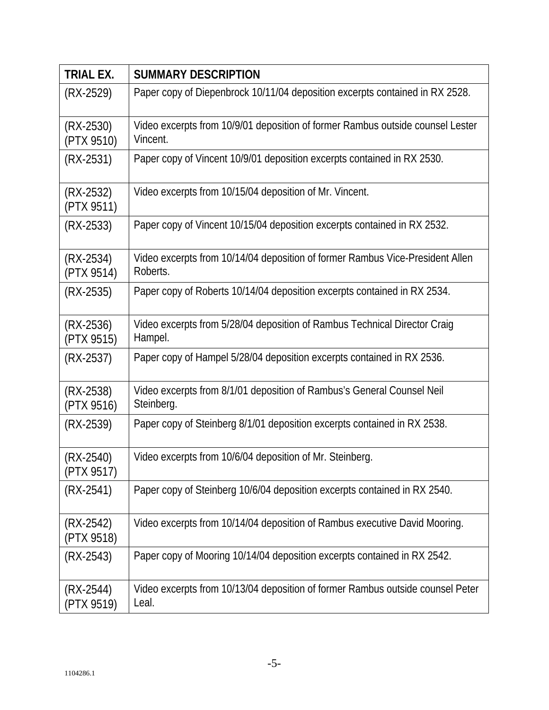| <b>TRIAL EX.</b>          | <b>SUMMARY DESCRIPTION</b>                                                                 |
|---------------------------|--------------------------------------------------------------------------------------------|
| $(RX-2529)$               | Paper copy of Diepenbrock 10/11/04 deposition excerpts contained in RX 2528.               |
| $(RX-2530)$<br>(PTX 9510) | Video excerpts from 10/9/01 deposition of former Rambus outside counsel Lester<br>Vincent. |
| $(RX-2531)$               | Paper copy of Vincent 10/9/01 deposition excerpts contained in RX 2530.                    |
| $(RX-2532)$<br>(PTX 9511) | Video excerpts from 10/15/04 deposition of Mr. Vincent.                                    |
| $(RX-2533)$               | Paper copy of Vincent 10/15/04 deposition excerpts contained in RX 2532.                   |
| $(RX-2534)$<br>(PTX 9514) | Video excerpts from 10/14/04 deposition of former Rambus Vice-President Allen<br>Roberts.  |
| $(RX-2535)$               | Paper copy of Roberts 10/14/04 deposition excerpts contained in RX 2534.                   |
| $(RX-2536)$<br>(PTX 9515) | Video excerpts from 5/28/04 deposition of Rambus Technical Director Craig<br>Hampel.       |
| $(RX-2537)$               | Paper copy of Hampel 5/28/04 deposition excerpts contained in RX 2536.                     |
| $(RX-2538)$<br>(PTX 9516) | Video excerpts from 8/1/01 deposition of Rambus's General Counsel Neil<br>Steinberg.       |
| $(RX-2539)$               | Paper copy of Steinberg 8/1/01 deposition excerpts contained in RX 2538.                   |
| $(RX-2540)$<br>(PTX 9517) | Video excerpts from 10/6/04 deposition of Mr. Steinberg.                                   |
| $(RX-2541)$               | Paper copy of Steinberg 10/6/04 deposition excerpts contained in RX 2540.                  |
| (RX-2542)<br>(PTX 9518)   | Video excerpts from 10/14/04 deposition of Rambus executive David Mooring.                 |
| $(RX-2543)$               | Paper copy of Mooring 10/14/04 deposition excerpts contained in RX 2542.                   |
| (RX-2544)<br>(PTX 9519)   | Video excerpts from 10/13/04 deposition of former Rambus outside counsel Peter<br>Leal.    |